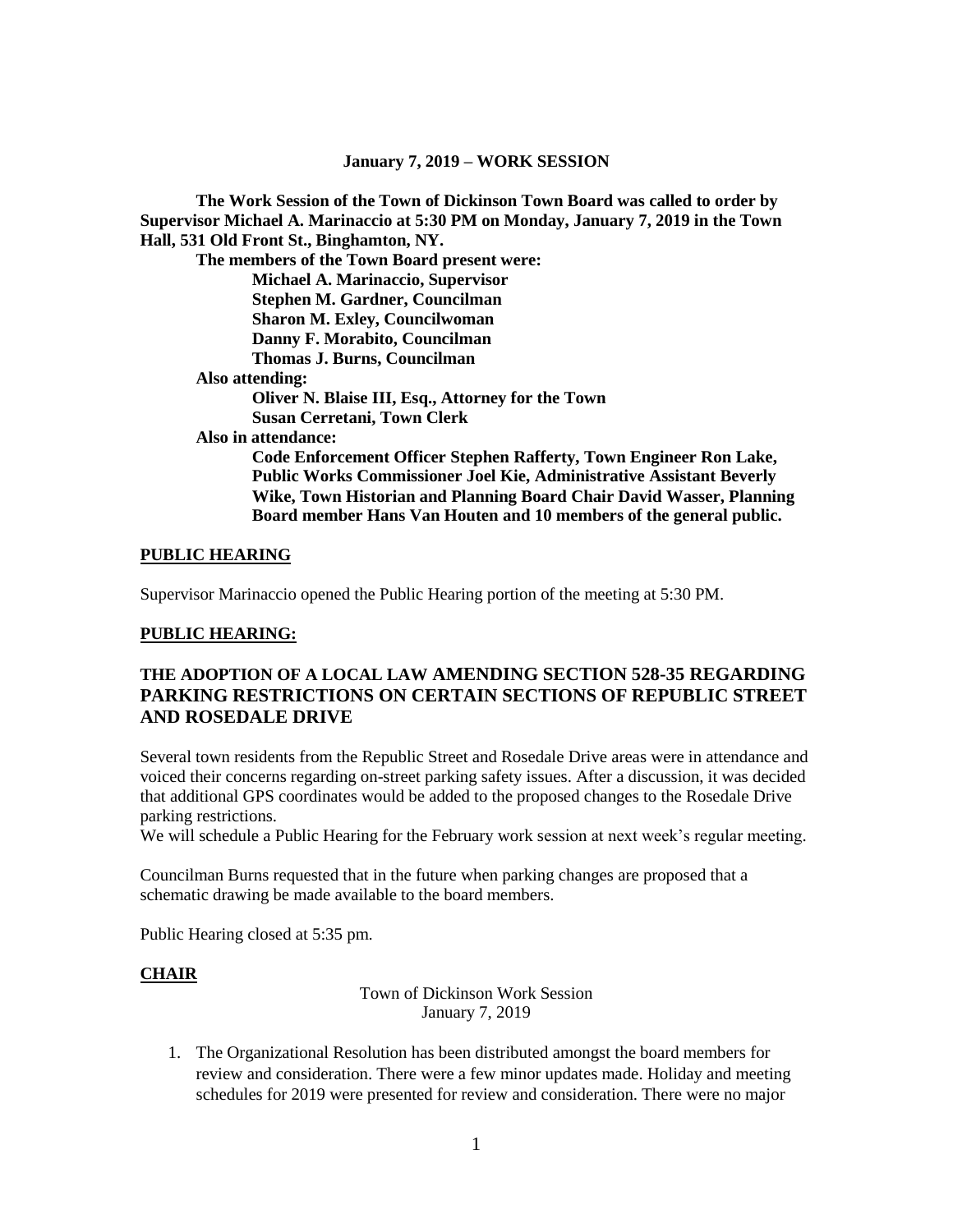#### **January 7, 2019 – WORK SESSION**

**The Work Session of the Town of Dickinson Town Board was called to order by Supervisor Michael A. Marinaccio at 5:30 PM on Monday, January 7, 2019 in the Town Hall, 531 Old Front St., Binghamton, NY.**

**The members of the Town Board present were: Michael A. Marinaccio, Supervisor Stephen M. Gardner, Councilman Sharon M. Exley, Councilwoman Danny F. Morabito, Councilman Thomas J. Burns, Councilman Also attending: Oliver N. Blaise III, Esq., Attorney for the Town Susan Cerretani, Town Clerk Also in attendance: Code Enforcement Officer Stephen Rafferty, Town Engineer Ron Lake, Public Works Commissioner Joel Kie, Administrative Assistant Beverly Wike, Town Historian and Planning Board Chair David Wasser, Planning Board member Hans Van Houten and 10 members of the general public.**

### **PUBLIC HEARING**

Supervisor Marinaccio opened the Public Hearing portion of the meeting at 5:30 PM.

### **PUBLIC HEARING:**

# **THE ADOPTION OF A LOCAL LAW AMENDING SECTION 528-35 REGARDING PARKING RESTRICTIONS ON CERTAIN SECTIONS OF REPUBLIC STREET AND ROSEDALE DRIVE**

Several town residents from the Republic Street and Rosedale Drive areas were in attendance and voiced their concerns regarding on-street parking safety issues. After a discussion, it was decided that additional GPS coordinates would be added to the proposed changes to the Rosedale Drive parking restrictions.

We will schedule a Public Hearing for the February work session at next week's regular meeting.

Councilman Burns requested that in the future when parking changes are proposed that a schematic drawing be made available to the board members.

Public Hearing closed at 5:35 pm.

### **CHAIR**

### Town of Dickinson Work Session January 7, 2019

1. The Organizational Resolution has been distributed amongst the board members for review and consideration. There were a few minor updates made. Holiday and meeting schedules for 2019 were presented for review and consideration. There were no major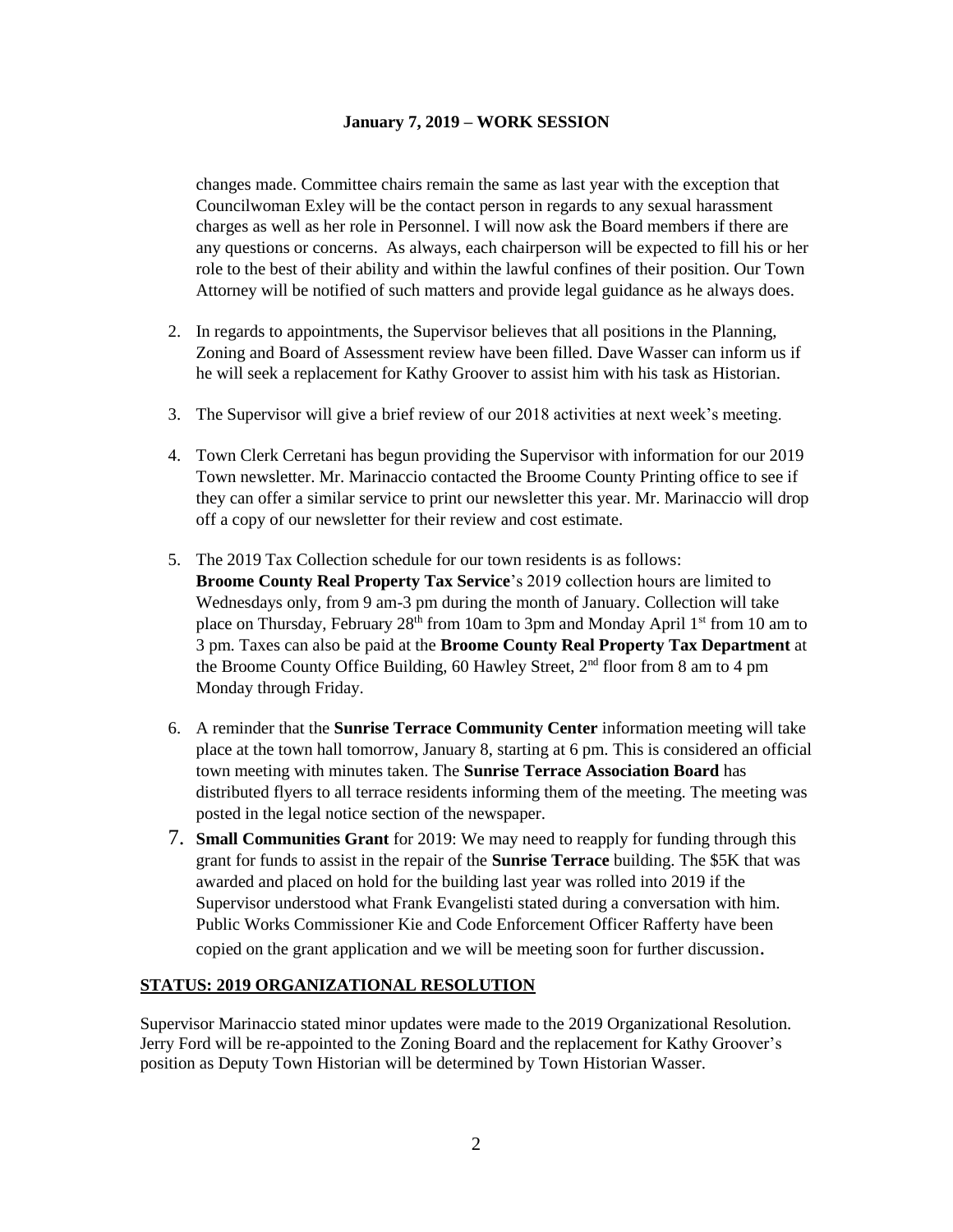### **January 7, 2019 – WORK SESSION**

changes made. Committee chairs remain the same as last year with the exception that Councilwoman Exley will be the contact person in regards to any sexual harassment charges as well as her role in Personnel. I will now ask the Board members if there are any questions or concerns. As always, each chairperson will be expected to fill his or her role to the best of their ability and within the lawful confines of their position. Our Town Attorney will be notified of such matters and provide legal guidance as he always does.

- 2. In regards to appointments, the Supervisor believes that all positions in the Planning, Zoning and Board of Assessment review have been filled. Dave Wasser can inform us if he will seek a replacement for Kathy Groover to assist him with his task as Historian.
- 3. The Supervisor will give a brief review of our 2018 activities at next week's meeting.
- 4. Town Clerk Cerretani has begun providing the Supervisor with information for our 2019 Town newsletter. Mr. Marinaccio contacted the Broome County Printing office to see if they can offer a similar service to print our newsletter this year. Mr. Marinaccio will drop off a copy of our newsletter for their review and cost estimate.
- 5. The 2019 Tax Collection schedule for our town residents is as follows: **Broome County Real Property Tax Service**'s 2019 collection hours are limited to Wednesdays only, from 9 am-3 pm during the month of January. Collection will take place on Thursday, February 28<sup>th</sup> from 10am to 3pm and Monday April 1<sup>st</sup> from 10 am to 3 pm. Taxes can also be paid at the **Broome County Real Property Tax Department** at the Broome County Office Building, 60 Hawley Street, 2<sup>nd</sup> floor from 8 am to 4 pm Monday through Friday.
- 6. A reminder that the **Sunrise Terrace Community Center** information meeting will take place at the town hall tomorrow, January 8, starting at 6 pm. This is considered an official town meeting with minutes taken. The **Sunrise Terrace Association Board** has distributed flyers to all terrace residents informing them of the meeting. The meeting was posted in the legal notice section of the newspaper.
- 7. **Small Communities Grant** for 2019: We may need to reapply for funding through this grant for funds to assist in the repair of the **Sunrise Terrace** building. The \$5K that was awarded and placed on hold for the building last year was rolled into 2019 if the Supervisor understood what Frank Evangelisti stated during a conversation with him. Public Works Commissioner Kie and Code Enforcement Officer Rafferty have been copied on the grant application and we will be meeting soon for further discussion.

## **STATUS: 2019 ORGANIZATIONAL RESOLUTION**

Supervisor Marinaccio stated minor updates were made to the 2019 Organizational Resolution. Jerry Ford will be re-appointed to the Zoning Board and the replacement for Kathy Groover's position as Deputy Town Historian will be determined by Town Historian Wasser.